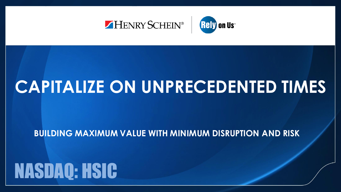

## **CAPITALIZE ON UNPRECEDENTED TIMES**

**BUILDING MAXIMUM VALUE WITH MINIMUM DISRUPTION AND RISK**

# NASDAQ: HSIC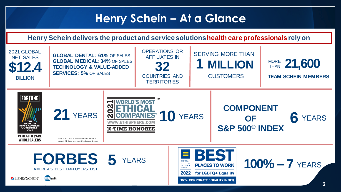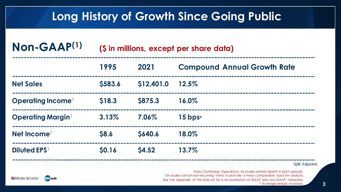### **Long History of Growth Since Going Public**

| Non-GAAP <sup>(1)</sup>       | (\$ in millions, except per share data) |                |                                    |
|-------------------------------|-----------------------------------------|----------------|------------------------------------|
|                               | 1995                                    | 2021           | <b>Compound Annual Growth Rate</b> |
| <b>Net Sales</b>              | \$583.6                                 | \$12,401.0     | 12.5%                              |
| Operating Income <sup>1</sup> | \$18.3                                  | <b>\$875.3</b> | 16.0%                              |
| <b>Operating Margin</b>       | 3.13%                                   | 7.06%          | $15$ bps*                          |
| Net Income                    | \$8.6                                   | <b>S640.6</b>  | 18.0%                              |
| <b>Diluted EPS</b>            | <b>SO.16</b>                            | <b>S4.52</b>   | 13.7%                              |

Split Adjusted

From Continuing Operations. Ex cludes animal health in both periods. <sup>1</sup> Ex cludes certain non-recurring items to provide a more comparable basis for analysis. See the appendix of this slide set for a reconciliation of GAAP and non-GAAP measures. \* Average annual increase.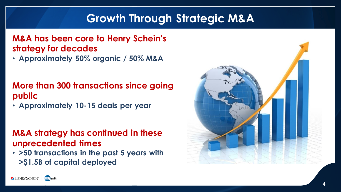## **Growth Through Strategic M&A**

#### **M&A has been core to Henry Schein's strategy for decades**

• **Approximately 50% organic / 50% M&A**

#### **More than 300 transactions since going public**

• **Approximately 10-15 deals per year**

#### **M&A strategy has continued in these unprecedented times**

• **>50 transactions in the past 5 years with >\$1.5B of capital deployed**



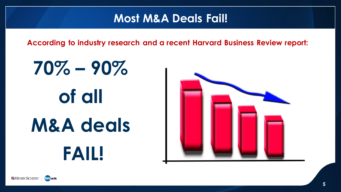#### **Most M&A Deals Fail!**

**According to industry research and a recent Harvard Business Review report:**

# **70% – 90% of all M&A deals FAIL!**



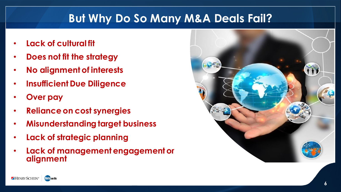## **But Why Do So Many M&A Deals Fail?**

- **Lack of cultural fit**
- **Does not fit the strategy**
- **No alignment of interests**
- **Insufficient Due Diligence**
- **Over pay**
- **Reliance on cost synergies**
- **Misunderstanding target business**
- **Lack of strategic planning**
- **Lack of management engagement or alignment**



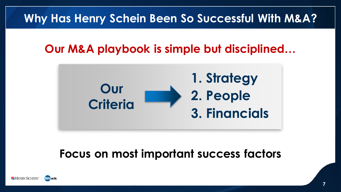## **Why Has Henry Schein Been So Successful With M&A?**

## **Our M&A playbook is simple but disciplined…**



## **Focus on most important success factors**

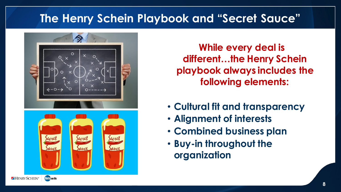## **The Henry Schein Playbook and "Secret Sauce"**



**While every deal is different…the Henry Schein playbook always includes the following elements:**

- **Cultural fit and transparency**
- **Alignment of interests**
- **Combined business plan**
- **Buy-in throughout the organization**

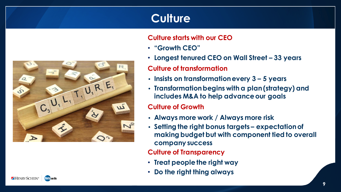## **Culture**

#### **Culture starts with our CEO**

- **"Growth CEO"**
- **Longest tenured CEO on Wall Street – 33 years**

#### **Culture of transformation**

- **Insists on transformation every 3 – 5 years**
- **Transformation begins with a plan (strategy) and includes M&A to help advance our goals**

#### **Culture of Growth**

- **Always more work / Always more risk**
- **Setting the right bonus targets – expectation of making budget but with component tied to overall company success**

#### **Culture of Transparency**

- **Treat people the right way**
- **Do the right thing always**

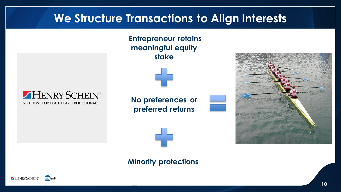### **We Structure Transactions to Align Interests**

**Entrepreneur retains meaningful equity stake**



**No preferences or preferred returns**







**Minority protections**

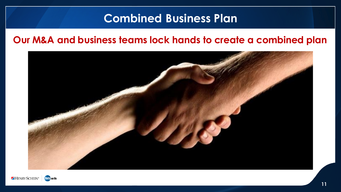#### **Combined Business Plan**

#### **Our M&A and business teams lock hands to create a combined plan**



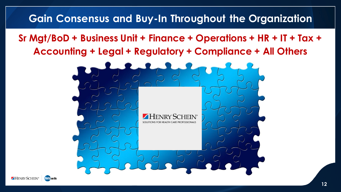#### **Gain Consensus and Buy-In Throughout the Organization**

**Sr Mgt/BoD + Business Unit + Finance + Operations + HR + IT + Tax + Accounting + Legal + Regulatory + Compliance + All Others**